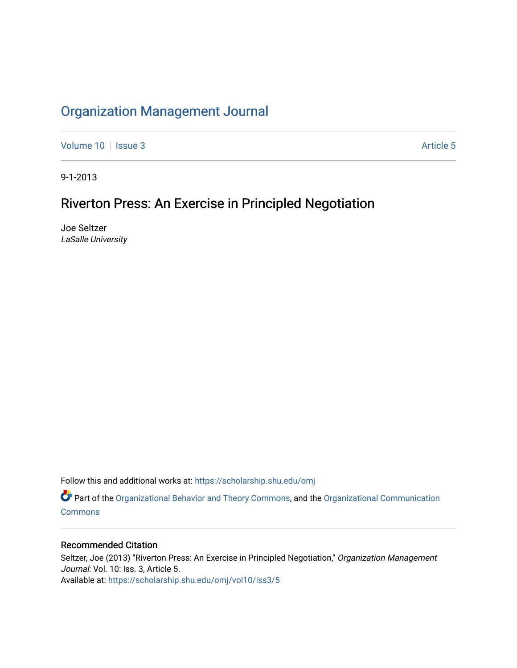# [Organization Management Journal](https://scholarship.shu.edu/omj)

[Volume 10](https://scholarship.shu.edu/omj/vol10) | [Issue 3](https://scholarship.shu.edu/omj/vol10/iss3) Article 5

9-1-2013

# Riverton Press: An Exercise in Principled Negotiation

Joe Seltzer LaSalle University

Follow this and additional works at: [https://scholarship.shu.edu/omj](https://scholarship.shu.edu/omj?utm_source=scholarship.shu.edu%2Fomj%2Fvol10%2Fiss3%2F5&utm_medium=PDF&utm_campaign=PDFCoverPages) 

Part of the [Organizational Behavior and Theory Commons,](http://network.bepress.com/hgg/discipline/639?utm_source=scholarship.shu.edu%2Fomj%2Fvol10%2Fiss3%2F5&utm_medium=PDF&utm_campaign=PDFCoverPages) and the [Organizational Communication](http://network.bepress.com/hgg/discipline/335?utm_source=scholarship.shu.edu%2Fomj%2Fvol10%2Fiss3%2F5&utm_medium=PDF&utm_campaign=PDFCoverPages) **[Commons](http://network.bepress.com/hgg/discipline/335?utm_source=scholarship.shu.edu%2Fomj%2Fvol10%2Fiss3%2F5&utm_medium=PDF&utm_campaign=PDFCoverPages)** 

## Recommended Citation

Seltzer, Joe (2013) "Riverton Press: An Exercise in Principled Negotiation," Organization Management Journal: Vol. 10: Iss. 3, Article 5. Available at: [https://scholarship.shu.edu/omj/vol10/iss3/5](https://scholarship.shu.edu/omj/vol10/iss3/5?utm_source=scholarship.shu.edu%2Fomj%2Fvol10%2Fiss3%2F5&utm_medium=PDF&utm_campaign=PDFCoverPages)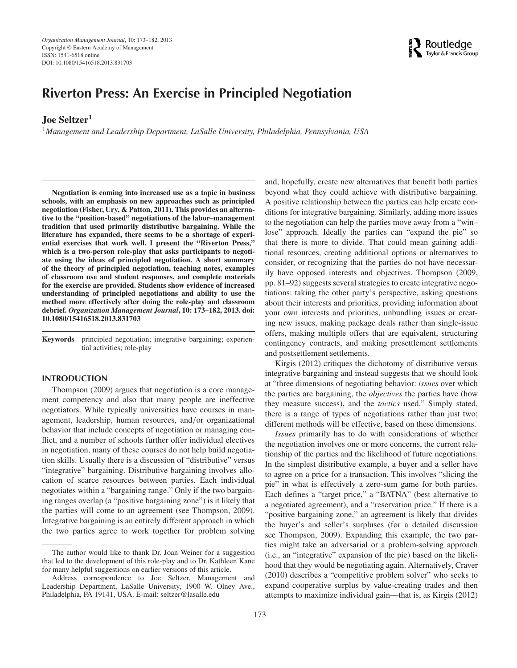## **Riverton Press: An Exercise in Principled Negotiation**

## **Joe Seltzer1**

<sup>1</sup>*Management and Leadership Department, LaSalle University, Philadelphia, Pennsylvania, USA*

**Negotiation is coming into increased use as a topic in business schools, with an emphasis on new approaches such as principled negotiation (Fisher, Ury, & Patton, 2011). This provides an alternative to the "position-based" negotiations of the labor–management tradition that used primarily distributive bargaining. While the literature has expanded, there seems to be a shortage of experiential exercises that work well. I present the "Riverton Press," which is a two-person role-play that asks participants to negotiate using the ideas of principled negotiation. A short summary of the theory of principled negotiation, teaching notes, examples of classroom use and student responses, and complete materials for the exercise are provided. Students show evidence of increased understanding of principled negotiations and ability to use the method more effectively after doing the role-play and classroom debrief.** *Organization Management Journal***, 10: 173–182, 2013. doi: 10.1080/15416518.2013.831703**

**Keywords** principled negotiation; integrative bargaining; experiential activities; role-play

#### **INTRODUCTION**

Thompson (2009) argues that negotiation is a core management competency and also that many people are ineffective negotiators. While typically universities have courses in management, leadership, human resources, and*/*or organizational behavior that include concepts of negotiation or managing conflict, and a number of schools further offer individual electives in negotiation, many of these courses do not help build negotiation skills. Usually there is a discussion of "distributive" versus "integrative" bargaining. Distributive bargaining involves allocation of scarce resources between parties. Each individual negotiates within a "bargaining range." Only if the two bargaining ranges overlap (a "positive bargaining zone") is it likely that the parties will come to an agreement (see Thompson, 2009). Integrative bargaining is an entirely different approach in which the two parties agree to work together for problem solving

and, hopefully, create new alternatives that benefit both parties beyond what they could achieve with distributive bargaining. A positive relationship between the parties can help create conditions for integrative bargaining. Similarly, adding more issues to the negotiation can help the parties move away from a "win– lose" approach. Ideally the parties can "expand the pie" so that there is more to divide. That could mean gaining additional resources, creating additional options or alternatives to consider, or recognizing that the parties do not have necessarily have opposed interests and objectives. Thompson (2009, pp. 81–92) suggests several strategies to create integrative negotiations: taking the other party's perspective, asking questions about their interests and priorities, providing information about your own interests and priorities, unbundling issues or creating new issues, making package deals rather than single-issue offers, making multiple offers that are equivalent, structuring contingency contracts, and making presettlement settlements and postsettlement settlements.

Kirgis (2012) critiques the dichotomy of distributive versus integrative bargaining and instead suggests that we should look at "three dimensions of negotiating behavior: *issues* over which the parties are bargaining, the *objectives* the parties have (how they measure success), and the *tactics* used." Simply stated, there is a range of types of negotiations rather than just two; different methods will be effective, based on these dimensions.

*Issues* primarily has to do with considerations of whether the negotiation involves one or more concerns, the current relationship of the parties and the likelihood of future negotiations. In the simplest distributive example, a buyer and a seller have to agree on a price for a transaction. This involves "slicing the pie" in what is effectively a zero-sum game for both parties. Each defines a "target price," a "BATNA" (best alternative to a negotiated agreement), and a "reservation price." If there is a "positive bargaining zone," an agreement is likely that divides the buyer's and seller's surpluses (for a detailed discussion see Thompson, 2009). Expanding this example, the two parties might take an adversarial or a problem-solving approach (i.e., an "integrative" expansion of the pie) based on the likelihood that they would be negotiating again. Alternatively, Craver (2010) describes a "competitive problem solver" who seeks to expand cooperative surplus by value-creating trades and then attempts to maximize individual gain—that is, as Kirgis (2012)



The author would like to thank Dr. Joan Weiner for a suggestion that led to the development of this role-play and to Dr. Kathleen Kane for many helpful suggestions on earlier versions of this article.

Address correspondence to Joe Seltzer, Management and Leadership Department, LaSalle University, 1900 W. Olney Ave., Philadelphia, PA 19141, USA. E-mail: seltzer@lasalle.edu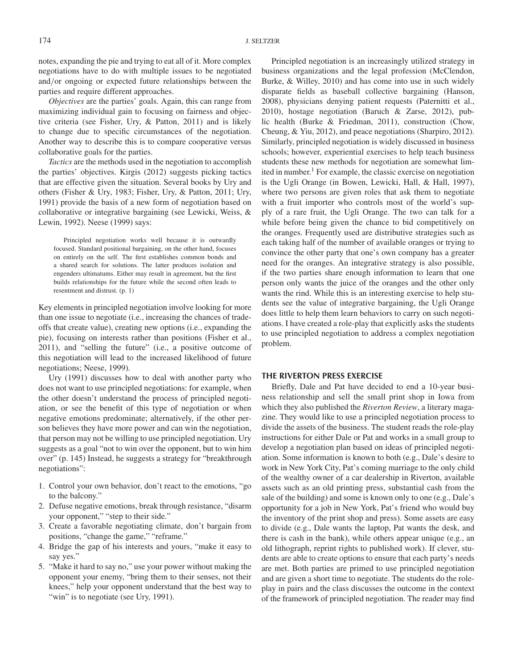notes, expanding the pie and trying to eat all of it. More complex negotiations have to do with multiple issues to be negotiated and*/*or ongoing or expected future relationships between the parties and require different approaches.

*Objectives* are the parties' goals. Again, this can range from maximizing individual gain to focusing on fairness and objective criteria (see Fisher, Ury, & Patton, 2011) and is likely to change due to specific circumstances of the negotiation. Another way to describe this is to compare cooperative versus collaborative goals for the parties.

*Tactics* are the methods used in the negotiation to accomplish the parties' objectives. Kirgis (2012) suggests picking tactics that are effective given the situation. Several books by Ury and others (Fisher & Ury, 1983; Fisher, Ury, & Patton, 2011; Ury, 1991) provide the basis of a new form of negotiation based on collaborative or integrative bargaining (see Lewicki, Weiss, & Lewin, 1992). Neese (1999) says:

Principled negotiation works well because it is outwardly focused. Standard positional bargaining, on the other hand, focuses on entirely on the self. The first establishes common bonds and a shared search for solutions. The latter produces isolation and engenders ultimatums. Either may result in agreement, but the first builds relationships for the future while the second often leads to resentment and distrust. (p. 1)

Key elements in principled negotiation involve looking for more than one issue to negotiate (i.e., increasing the chances of tradeoffs that create value), creating new options (i.e., expanding the pie), focusing on interests rather than positions (Fisher et al., 2011), and "selling the future" (i.e., a positive outcome of this negotiation will lead to the increased likelihood of future negotiations; Neese, 1999).

Ury (1991) discusses how to deal with another party who does not want to use principled negotiations: for example, when the other doesn't understand the process of principled negotiation, or see the benefit of this type of negotiation or when negative emotions predominate; alternatively, if the other person believes they have more power and can win the negotiation, that person may not be willing to use principled negotiation. Ury suggests as a goal "not to win over the opponent, but to win him over" (p. 145) Instead, he suggests a strategy for "breakthrough negotiations":

- 1. Control your own behavior, don't react to the emotions, "go to the balcony."
- 2. Defuse negative emotions, break through resistance, "disarm your opponent," "step to their side."
- 3. Create a favorable negotiating climate, don't bargain from positions, "change the game," "reframe."
- 4. Bridge the gap of his interests and yours, "make it easy to say yes."
- 5. "Make it hard to say no," use your power without making the opponent your enemy, "bring them to their senses, not their knees," help your opponent understand that the best way to "win" is to negotiate (see Ury, 1991).

Principled negotiation is an increasingly utilized strategy in business organizations and the legal profession (McClendon, Burke, & Willey, 2010) and has come into use in such widely disparate fields as baseball collective bargaining (Hanson, 2008), physicians denying patient requests (Paternitti et al., 2010), hostage negotiation (Baruch & Zarse, 2012), public health (Burke & Friedman, 2011), construction (Chow, Cheung, & Yiu, 2012), and peace negotiations (Sharpiro, 2012). Similarly, principled negotiation is widely discussed in business schools; however, experiential exercises to help teach business students these new methods for negotiation are somewhat limited in number.<sup>1</sup> For example, the classic exercise on negotiation is the Ugli Orange (in Bowen, Lewicki, Hall, & Hall, 1997), where two persons are given roles that ask them to negotiate with a fruit importer who controls most of the world's supply of a rare fruit, the Ugli Orange. The two can talk for a while before being given the chance to bid competitively on the oranges. Frequently used are distributive strategies such as each taking half of the number of available oranges or trying to convince the other party that one's own company has a greater need for the oranges. An integrative strategy is also possible, if the two parties share enough information to learn that one person only wants the juice of the oranges and the other only wants the rind. While this is an interesting exercise to help students see the value of integrative bargaining, the Ugli Orange does little to help them learn behaviors to carry on such negotiations. I have created a role-play that explicitly asks the students to use principled negotiation to address a complex negotiation problem.

#### **THE RIVERTON PRESS EXERCISE**

Briefly, Dale and Pat have decided to end a 10-year business relationship and sell the small print shop in Iowa from which they also published the *Riverton Review*, a literary magazine. They would like to use a principled negotiation process to divide the assets of the business. The student reads the role-play instructions for either Dale or Pat and works in a small group to develop a negotiation plan based on ideas of principled negotiation. Some information is known to both (e.g., Dale's desire to work in New York City, Pat's coming marriage to the only child of the wealthy owner of a car dealership in Riverton, available assets such as an old printing press, substantial cash from the sale of the building) and some is known only to one (e.g., Dale's opportunity for a job in New York, Pat's friend who would buy the inventory of the print shop and press). Some assets are easy to divide (e.g., Dale wants the laptop, Pat wants the desk, and there is cash in the bank), while others appear unique (e.g., an old lithograph, reprint rights to published work). If clever, students are able to create options to ensure that each party's needs are met. Both parties are primed to use principled negotiation and are given a short time to negotiate. The students do the roleplay in pairs and the class discusses the outcome in the context of the framework of principled negotiation. The reader may find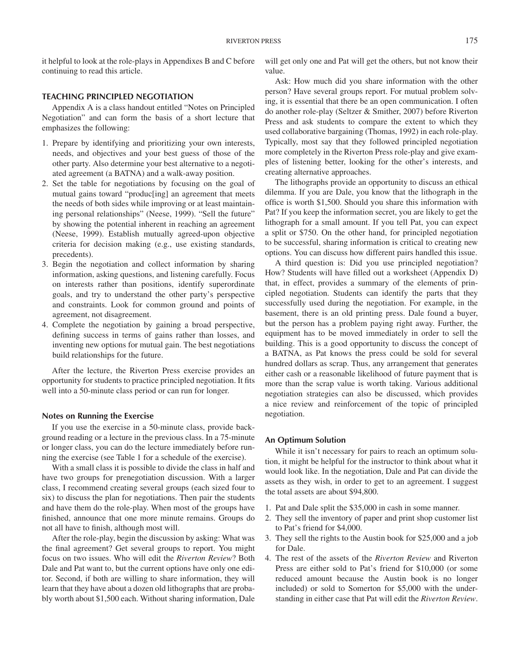it helpful to look at the role-plays in Appendixes B and C before continuing to read this article.

## **TEACHING PRINCIPLED NEGOTIATION**

Appendix A is a class handout entitled "Notes on Principled Negotiation" and can form the basis of a short lecture that emphasizes the following:

- 1. Prepare by identifying and prioritizing your own interests, needs, and objectives and your best guess of those of the other party. Also determine your best alternative to a negotiated agreement (a BATNA) and a walk-away position.
- 2. Set the table for negotiations by focusing on the goal of mutual gains toward "produc[ing] an agreement that meets the needs of both sides while improving or at least maintaining personal relationships" (Neese, 1999). "Sell the future" by showing the potential inherent in reaching an agreement (Neese, 1999). Establish mutually agreed-upon objective criteria for decision making (e.g., use existing standards, precedents).
- 3. Begin the negotiation and collect information by sharing information, asking questions, and listening carefully. Focus on interests rather than positions, identify superordinate goals, and try to understand the other party's perspective and constraints. Look for common ground and points of agreement, not disagreement.
- 4. Complete the negotiation by gaining a broad perspective, defining success in terms of gains rather than losses, and inventing new options for mutual gain. The best negotiations build relationships for the future.

After the lecture, the Riverton Press exercise provides an opportunity for students to practice principled negotiation. It fits well into a 50-minute class period or can run for longer.

#### **Notes on Running the Exercise**

If you use the exercise in a 50-minute class, provide background reading or a lecture in the previous class. In a 75-minute or longer class, you can do the lecture immediately before running the exercise (see Table 1 for a schedule of the exercise).

With a small class it is possible to divide the class in half and have two groups for prenegotiation discussion. With a larger class, I recommend creating several groups (each sized four to six) to discuss the plan for negotiations. Then pair the students and have them do the role-play. When most of the groups have finished, announce that one more minute remains. Groups do not all have to finish, although most will.

After the role-play, begin the discussion by asking: What was the final agreement? Get several groups to report. You might focus on two issues. Who will edit the *Riverton Review*? Both Dale and Pat want to, but the current options have only one editor. Second, if both are willing to share information, they will learn that they have about a dozen old lithographs that are probably worth about \$1,500 each. Without sharing information, Dale will get only one and Pat will get the others, but not know their value.

Ask: How much did you share information with the other person? Have several groups report. For mutual problem solving, it is essential that there be an open communication. I often do another role-play (Seltzer & Smither, 2007) before Riverton Press and ask students to compare the extent to which they used collaborative bargaining (Thomas, 1992) in each role-play. Typically, most say that they followed principled negotiation more completely in the Riverton Press role-play and give examples of listening better, looking for the other's interests, and creating alternative approaches.

The lithographs provide an opportunity to discuss an ethical dilemma. If you are Dale, you know that the lithograph in the office is worth \$1,500. Should you share this information with Pat? If you keep the information secret, you are likely to get the lithograph for a small amount. If you tell Pat, you can expect a split or \$750. On the other hand, for principled negotiation to be successful, sharing information is critical to creating new options. You can discuss how different pairs handled this issue.

A third question is: Did you use principled negotiation? How? Students will have filled out a worksheet (Appendix D) that, in effect, provides a summary of the elements of principled negotiation. Students can identify the parts that they successfully used during the negotiation. For example, in the basement, there is an old printing press. Dale found a buyer, but the person has a problem paying right away. Further, the equipment has to be moved immediately in order to sell the building. This is a good opportunity to discuss the concept of a BATNA, as Pat knows the press could be sold for several hundred dollars as scrap. Thus, any arrangement that generates either cash or a reasonable likelihood of future payment that is more than the scrap value is worth taking. Various additional negotiation strategies can also be discussed, which provides a nice review and reinforcement of the topic of principled negotiation.

#### **An Optimum Solution**

While it isn't necessary for pairs to reach an optimum solution, it might be helpful for the instructor to think about what it would look like. In the negotiation, Dale and Pat can divide the assets as they wish, in order to get to an agreement. I suggest the total assets are about \$94,800.

- 1. Pat and Dale split the \$35,000 in cash in some manner.
- 2. They sell the inventory of paper and print shop customer list to Pat's friend for \$4,000.
- 3. They sell the rights to the Austin book for \$25,000 and a job for Dale.
- 4. The rest of the assets of the *Riverton Review* and Riverton Press are either sold to Pat's friend for \$10,000 (or some reduced amount because the Austin book is no longer included) or sold to Somerton for \$5,000 with the understanding in either case that Pat will edit the *Riverton Review*.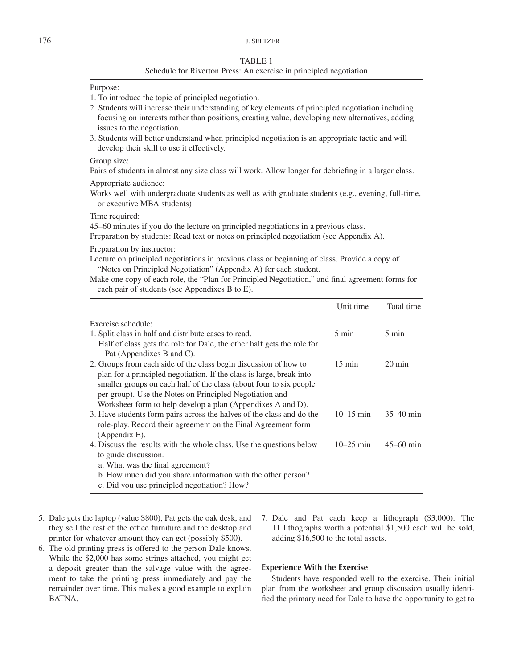## 176 J. SELTZER

#### TABLE 1

### Schedule for Riverton Press: An exercise in principled negotiation

## Purpose:

- 1. To introduce the topic of principled negotiation.
- 2. Students will increase their understanding of key elements of principled negotiation including focusing on interests rather than positions, creating value, developing new alternatives, adding issues to the negotiation.
- 3. Students will better understand when principled negotiation is an appropriate tactic and will develop their skill to use it effectively.

#### Group size:

Pairs of students in almost any size class will work. Allow longer for debriefing in a larger class.

Appropriate audience:

Works well with undergraduate students as well as with graduate students (e.g., evening, full-time, or executive MBA students)

Time required:

45–60 minutes if you do the lecture on principled negotiations in a previous class.

Preparation by students: Read text or notes on principled negotiation (see Appendix A).

Preparation by instructor:

Lecture on principled negotiations in previous class or beginning of class. Provide a copy of "Notes on Principled Negotiation" (Appendix A) for each student.

Make one copy of each role, the "Plan for Principled Negotiation," and final agreement forms for each pair of students (see Appendixes B to E).

|                                                                        | Unit time        | Total time       |
|------------------------------------------------------------------------|------------------|------------------|
| Exercise schedule:                                                     |                  |                  |
| 1. Split class in half and distribute cases to read.                   | $5 \text{ min}$  | $5 \text{ min}$  |
| Half of class gets the role for Dale, the other half gets the role for |                  |                  |
| Pat (Appendixes B and C).                                              |                  |                  |
| 2. Groups from each side of the class begin discussion of how to       | $15 \text{ min}$ | $20 \text{ min}$ |
| plan for a principled negotiation. If the class is large, break into   |                  |                  |
| smaller groups on each half of the class (about four to six people     |                  |                  |
| per group). Use the Notes on Principled Negotiation and                |                  |                  |
| Worksheet form to help develop a plan (Appendixes A and D).            |                  |                  |
| 3. Have students form pairs across the halves of the class and do the  | $10-15$ min      | $35-40$ min      |
| role-play. Record their agreement on the Final Agreement form          |                  |                  |
| $(A$ ppendix E).                                                       |                  |                  |
| 4. Discuss the results with the whole class. Use the questions below   | $10 - 25$ min    | $45 - 60$ min    |
| to guide discussion.                                                   |                  |                  |
| a. What was the final agreement?                                       |                  |                  |
| b. How much did you share information with the other person?           |                  |                  |
| c. Did you use principled negotiation? How?                            |                  |                  |

- 5. Dale gets the laptop (value \$800), Pat gets the oak desk, and they sell the rest of the office furniture and the desktop and printer for whatever amount they can get (possibly \$500).
- 6. The old printing press is offered to the person Dale knows. While the \$2,000 has some strings attached, you might get a deposit greater than the salvage value with the agreement to take the printing press immediately and pay the remainder over time. This makes a good example to explain BATNA.
- 7. Dale and Pat each keep a lithograph (\$3,000). The 11 lithographs worth a potential \$1,500 each will be sold, adding \$16,500 to the total assets.

### **Experience With the Exercise**

Students have responded well to the exercise. Their initial plan from the worksheet and group discussion usually identified the primary need for Dale to have the opportunity to get to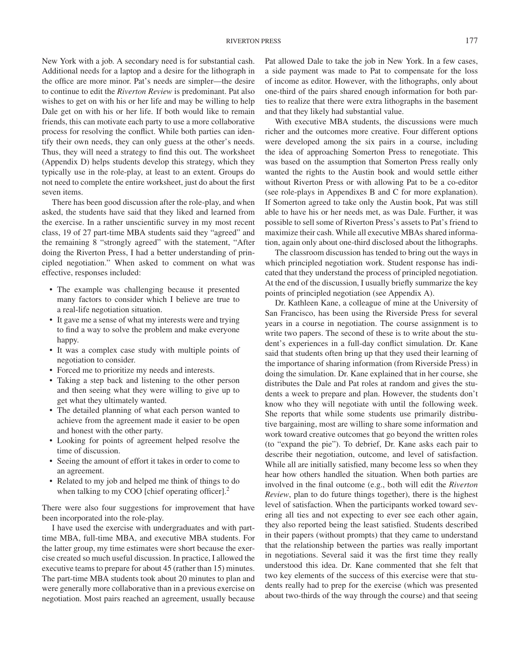New York with a job. A secondary need is for substantial cash. Additional needs for a laptop and a desire for the lithograph in the office are more minor. Pat's needs are simpler—the desire to continue to edit the *Riverton Review* is predominant. Pat also wishes to get on with his or her life and may be willing to help Dale get on with his or her life. If both would like to remain friends, this can motivate each party to use a more collaborative process for resolving the conflict. While both parties can identify their own needs, they can only guess at the other's needs. Thus, they will need a strategy to find this out. The worksheet (Appendix D) helps students develop this strategy, which they typically use in the role-play, at least to an extent. Groups do not need to complete the entire worksheet, just do about the first seven items.

There has been good discussion after the role-play, and when asked, the students have said that they liked and learned from the exercise. In a rather unscientific survey in my most recent class, 19 of 27 part-time MBA students said they "agreed" and the remaining 8 "strongly agreed" with the statement, "After doing the Riverton Press, I had a better understanding of principled negotiation." When asked to comment on what was effective, responses included:

- The example was challenging because it presented many factors to consider which I believe are true to a real-life negotiation situation.
- It gave me a sense of what my interests were and trying to find a way to solve the problem and make everyone happy.
- It was a complex case study with multiple points of negotiation to consider.
- Forced me to prioritize my needs and interests.
- Taking a step back and listening to the other person and then seeing what they were willing to give up to get what they ultimately wanted.
- The detailed planning of what each person wanted to achieve from the agreement made it easier to be open and honest with the other party.
- Looking for points of agreement helped resolve the time of discussion.
- Seeing the amount of effort it takes in order to come to an agreement.
- Related to my job and helped me think of things to do when talking to my COO [chief operating officer]. $<sup>2</sup>$ </sup>

There were also four suggestions for improvement that have been incorporated into the role-play.

I have used the exercise with undergraduates and with parttime MBA, full-time MBA, and executive MBA students. For the latter group, my time estimates were short because the exercise created so much useful discussion. In practice, I allowed the executive teams to prepare for about 45 (rather than 15) minutes. The part-time MBA students took about 20 minutes to plan and were generally more collaborative than in a previous exercise on negotiation. Most pairs reached an agreement, usually because Pat allowed Dale to take the job in New York. In a few cases, a side payment was made to Pat to compensate for the loss of income as editor. However, with the lithographs, only about one-third of the pairs shared enough information for both parties to realize that there were extra lithographs in the basement and that they likely had substantial value.

With executive MBA students, the discussions were much richer and the outcomes more creative. Four different options were developed among the six pairs in a course, including the idea of approaching Somerton Press to renegotiate. This was based on the assumption that Somerton Press really only wanted the rights to the Austin book and would settle either without Riverton Press or with allowing Pat to be a co-editor (see role-plays in Appendixes B and C for more explanation). If Somerton agreed to take only the Austin book, Pat was still able to have his or her needs met, as was Dale. Further, it was possible to sell some of Riverton Press's assets to Pat's friend to maximize their cash. While all executive MBAs shared information, again only about one-third disclosed about the lithographs.

The classroom discussion has tended to bring out the ways in which principled negotiation work. Student response has indicated that they understand the process of principled negotiation. At the end of the discussion, I usually briefly summarize the key points of principled negotiation (see Appendix A).

Dr. Kathleen Kane, a colleague of mine at the University of San Francisco, has been using the Riverside Press for several years in a course in negotiation. The course assignment is to write two papers. The second of these is to write about the student's experiences in a full-day conflict simulation. Dr. Kane said that students often bring up that they used their learning of the importance of sharing information (from Riverside Press) in doing the simulation. Dr. Kane explained that in her course, she distributes the Dale and Pat roles at random and gives the students a week to prepare and plan. However, the students don't know who they will negotiate with until the following week. She reports that while some students use primarily distributive bargaining, most are willing to share some information and work toward creative outcomes that go beyond the written roles (to "expand the pie"). To debrief, Dr. Kane asks each pair to describe their negotiation, outcome, and level of satisfaction. While all are initially satisfied, many become less so when they hear how others handled the situation. When both parties are involved in the final outcome (e.g., both will edit the *Riverton Review*, plan to do future things together), there is the highest level of satisfaction. When the participants worked toward severing all ties and not expecting to ever see each other again, they also reported being the least satisfied. Students described in their papers (without prompts) that they came to understand that the relationship between the parties was really important in negotiations. Several said it was the first time they really understood this idea. Dr. Kane commented that she felt that two key elements of the success of this exercise were that students really had to prep for the exercise (which was presented about two-thirds of the way through the course) and that seeing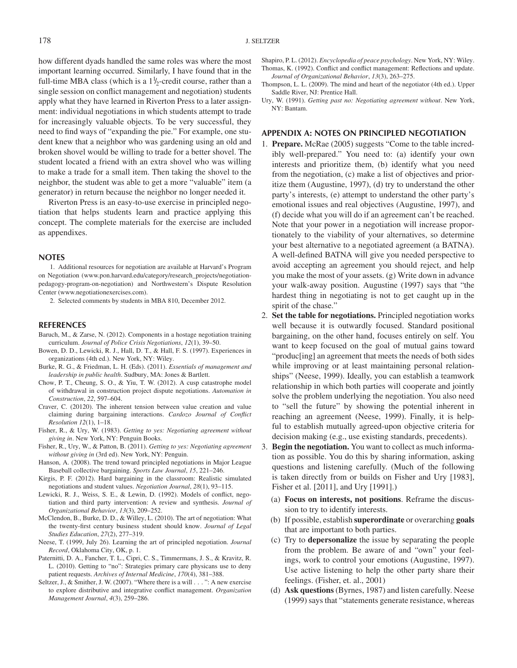how different dyads handled the same roles was where the most important learning occurred. Similarly, I have found that in the full-time MBA class (which is a  $1\frac{1}{2}$ -credit course, rather than a single session on conflict management and negotiation) students apply what they have learned in Riverton Press to a later assignment: individual negotiations in which students attempt to trade for increasingly valuable objects. To be very successful, they need to find ways of "expanding the pie." For example, one student knew that a neighbor who was gardening using an old and broken shovel would be willing to trade for a better shovel. The student located a friend with an extra shovel who was willing to make a trade for a small item. Then taking the shovel to the neighbor, the student was able to get a more "valuable" item (a generator) in return because the neighbor no longer needed it.

Riverton Press is an easy-to-use exercise in principled negotiation that helps students learn and practice applying this concept. The complete materials for the exercise are included as appendixes.

#### **NOTES**

1. Additional resources for negotiation are available at Harvard's Program on Negotiation (www.pon.harvard.edu/category/research\_projects/negotiationpedagogy-program-on-negotiation) and Northwestern's Dispute Resolution Center (www.negotiationexercises.com).

2. Selected comments by students in MBA 810, December 2012.

#### **REFERENCES**

- Baruch, M., & Zarse, N. (2012). Components in a hostage negotiation training curriculum. *Journal of Police Crisis Negotiations*, *12*(1), 39–50.
- Bowen, D. D., Lewicki, R. J., Hall, D. T., & Hall, F. S. (1997). Experiences in organizations (4th ed.). New York, NY: Wiley.
- Burke, R. G., & Friedman, L. H. (Eds). (2011). *Essentials of management and leadership in public health*. Sudbury, MA: Jones & Bartlett.
- Chow, P. T., Cheung, S. O., & Yiu, T. W. (2012). A cusp catastrophe model of withdrawal in construction project dispute negotiations. *Automation in Construction*, *22*, 597–604.
- Craver, C. (20120). The inherent tension between value creation and value claiming during bargaining interactions. *Cardozo Journal of Conflict Resolution 12*(1), 1–18.
- Fisher, R., & Ury, W. (1983). *Getting to yes: Negotiating agreement without giving in*. New York, NY: Penguin Books.
- Fisher, R., Ury, W., & Patton, B. (2011). *Getting to yes: Negotiating agreement without giving in* (3rd ed). New York, NY: Penguin.
- Hanson, A. (2008). The trend toward principled negotiations in Major League Baseball collective bargaining. *Sports Law Journal*, *15*, 221–246.
- Kirgis, P. F. (2012). Hard bargaining in the classroom: Realistic simulated negotiations and student values. *Negotiation Journal*, *28*(1), 93–115.
- Lewicki, R. J., Weiss, S. E., & Lewin, D. (1992). Models of conflict, negotiation and third party intervention: A review and synthesis. *Journal of Organizational Behavior*, *13*(3), 209–252.
- McClendon, B., Burke, D. D., & Willey, L. (2010). The art of negotiation: What the twenty-first century business student should know. *Journal of Legal Studies Education*, *27*(2), 277–319.
- Neese, T. (1999, July 26). Learning the art of principled negotiation. *Journal Record*, Oklahoma City, OK, p. 1.
- Paternitti, D. A., Fancher, T. L., Cipri, C. S., Timmermans, J. S., & Kravitz, R. L. (2010). Getting to "no": Strategies primary care physicans use to deny patient requests. *Archives of Internal Medicine*, *170*(4), 381–388.
- Seltzer, J., & Smither, J. W. (2007). "Where there is a will *...* ": A new exercise to explore distributive and integrative conflict management. *Organization Management Journal*, *4*(3), 259–286.

Shapiro, P. L. (2012). *Encyclopedia of peace psychology*. New York, NY: Wiley. Thomas, K. (1992). Conflict and conflict management: Reflections and update. *Journal of Organizational Behavior*, *13*(3), 263–275.

Thompson, L. L. (2009). The mind and heart of the negotiator (4th ed.). Upper Saddle River, NJ: Prentice Hall.

Ury, W. (1991). *Getting past no: Negotiating agreement without*. New York, NY: Bantam.

#### **APPENDIX A: NOTES ON PRINCIPLED NEGOTIATION**

- 1. **Prepare.** McRae (2005) suggests "Come to the table incredibly well-prepared." You need to: (a) identify your own interests and prioritize them, (b) identify what you need from the negotiation, (c) make a list of objectives and prioritize them (Augustine, 1997), (d) try to understand the other party's interests, (e) attempt to understand the other party's emotional issues and real objectives (Augustine, 1997), and (f) decide what you will do if an agreement can't be reached. Note that your power in a negotiation will increase proportionately to the viability of your alternatives, so determine your best alternative to a negotiated agreement (a BATNA). A well-defined BATNA will give you needed perspective to avoid accepting an agreement you should reject, and help you make the most of your assets. (g) Write down in advance your walk-away position. Augustine (1997) says that "the hardest thing in negotiating is not to get caught up in the spirit of the chase."
- 2. **Set the table for negotiations.** Principled negotiation works well because it is outwardly focused. Standard positional bargaining, on the other hand, focuses entirely on self. You want to keep focused on the goal of mutual gains toward "produc[ing] an agreement that meets the needs of both sides while improving or at least maintaining personal relationships" (Neese, 1999). Ideally, you can establish a teamwork relationship in which both parties will cooperate and jointly solve the problem underlying the negotiation. You also need to "sell the future" by showing the potential inherent in reaching an agreement (Neese, 1999). Finally, it is helpful to establish mutually agreed-upon objective criteria for decision making (e.g., use existing standards, precedents).
- 3. **Begin the negotiation.** You want to collect as much information as possible. You do this by sharing information, asking questions and listening carefully. (Much of the following is taken directly from or builds on Fisher and Ury [1983], Fisher et al. [2011], and Ury [1991].)
	- (a) **Focus on interests, not positions**. Reframe the discussion to try to identify interests.
	- (b) If possible, establish **superordinate** or overarching **goals** that are important to both parties.
	- (c) Try to **depersonalize** the issue by separating the people from the problem. Be aware of and "own" your feelings, work to control your emotions (Augustine, 1997). Use active listening to help the other party share their feelings. (Fisher, et. al., 2001)
	- (d) **Ask questions** (Byrnes, 1987) and listen carefully. Neese (1999) says that "statements generate resistance, whereas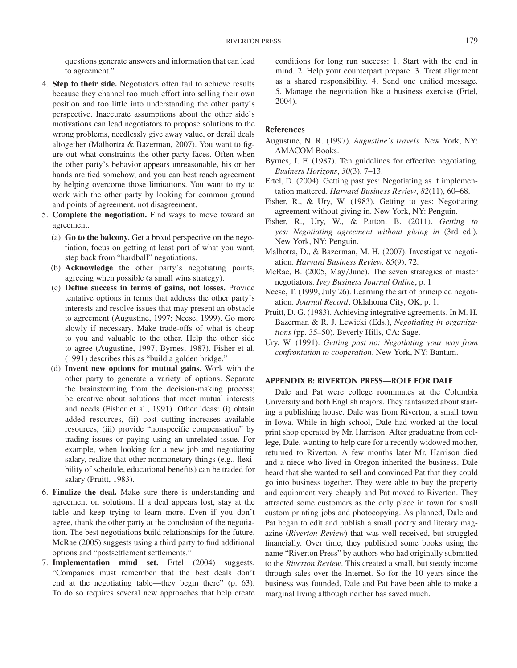questions generate answers and information that can lead to agreement."

- 4. **Step to their side.** Negotiators often fail to achieve results because they channel too much effort into selling their own position and too little into understanding the other party's perspective. Inaccurate assumptions about the other side's motivations can lead negotiators to propose solutions to the wrong problems, needlessly give away value, or derail deals altogether (Malhortra & Bazerman, 2007). You want to figure out what constraints the other party faces. Often when the other party's behavior appears unreasonable, his or her hands are tied somehow, and you can best reach agreement by helping overcome those limitations. You want to try to work with the other party by looking for common ground and points of agreement, not disagreement.
- 5. **Complete the negotiation.** Find ways to move toward an agreement.
	- (a) **Go to the balcony.** Get a broad perspective on the negotiation, focus on getting at least part of what you want, step back from "hardball" negotiations.
	- (b) **Acknowledge** the other party's negotiating points, agreeing when possible (a small wins strategy).
	- (c) **Define success in terms of gains, not losses.** Provide tentative options in terms that address the other party's interests and resolve issues that may present an obstacle to agreement (Augustine, 1997; Neese, 1999). Go more slowly if necessary. Make trade-offs of what is cheap to you and valuable to the other. Help the other side to agree (Augustine, 1997; Byrnes, 1987). Fisher et al. (1991) describes this as "build a golden bridge."
	- (d) **Invent new options for mutual gains.** Work with the other party to generate a variety of options. Separate the brainstorming from the decision-making process; be creative about solutions that meet mutual interests and needs (Fisher et al., 1991). Other ideas: (i) obtain added resources, (ii) cost cutting increases available resources, (iii) provide "nonspecific compensation" by trading issues or paying using an unrelated issue. For example, when looking for a new job and negotiating salary, realize that other nonmonetary things (e.g., flexibility of schedule, educational benefits) can be traded for salary (Pruitt, 1983).
- 6. **Finalize the deal.** Make sure there is understanding and agreement on solutions. If a deal appears lost, stay at the table and keep trying to learn more. Even if you don't agree, thank the other party at the conclusion of the negotiation. The best negotiations build relationships for the future. McRae (2005) suggests using a third party to find additional options and "postsettlement settlements."
- 7. **Implementation mind set.** Ertel (2004) suggests, "Companies must remember that the best deals don't end at the negotiating table—they begin there" (p. 63). To do so requires several new approaches that help create

conditions for long run success: 1. Start with the end in mind. 2. Help your counterpart prepare. 3. Treat alignment as a shared responsibility. 4. Send one unified message. 5. Manage the negotiation like a business exercise (Ertel, 2004).

## **References**

- Augustine, N. R. (1997). *Augustine's travels*. New York, NY: AMACOM Books.
- Byrnes, J. F. (1987). Ten guidelines for effective negotiating. *Business Horizons*, *30*(3), 7–13.
- Ertel, D. (2004). Getting past yes: Negotiating as if implementation mattered. *Harvard Business Review*, *82*(11), 60–68.
- Fisher, R., & Ury, W. (1983). Getting to yes: Negotiating agreement without giving in. New York, NY: Penguin.
- Fisher, R., Ury, W., & Patton, B. (2011). *Getting to yes: Negotiating agreement without giving in* (3rd ed.). New York, NY: Penguin.
- Malhotra, D., & Bazerman, M. H*.* (2007). Investigative negotiation. *Harvard Business Review, 85*(9), 72.
- McRae, B. (2005, May*/*June). The seven strategies of master negotiators. *Ivey Business Journal Online*, p. 1
- Neese, T. (1999, July 26). Learning the art of principled negotiation. *Journal Record*, Oklahoma City, OK, p. 1.
- Pruitt, D. G. (1983). Achieving integrative agreements. In M. H. Bazerman & R. J. Lewicki (Eds.), *Negotiating in organizations* (pp. 35–50). Beverly Hills, CA: Sage.
- Ury, W. (1991). *Getting past no: Negotiating your way from confrontation to cooperation*. New York, NY: Bantam.

#### **APPENDIX B: RIVERTON PRESS—ROLE FOR DALE**

Dale and Pat were college roommates at the Columbia University and both English majors. They fantasized about starting a publishing house. Dale was from Riverton, a small town in Iowa. While in high school, Dale had worked at the local print shop operated by Mr. Harrison. After graduating from college, Dale, wanting to help care for a recently widowed mother, returned to Riverton. A few months later Mr. Harrison died and a niece who lived in Oregon inherited the business. Dale heard that she wanted to sell and convinced Pat that they could go into business together. They were able to buy the property and equipment very cheaply and Pat moved to Riverton. They attracted some customers as the only place in town for small custom printing jobs and photocopying. As planned, Dale and Pat began to edit and publish a small poetry and literary magazine (*Riverton Review*) that was well received, but struggled financially. Over time, they published some books using the name "Riverton Press" by authors who had originally submitted to the *Riverton Review*. This created a small, but steady income through sales over the Internet. So for the 10 years since the business was founded, Dale and Pat have been able to make a marginal living although neither has saved much.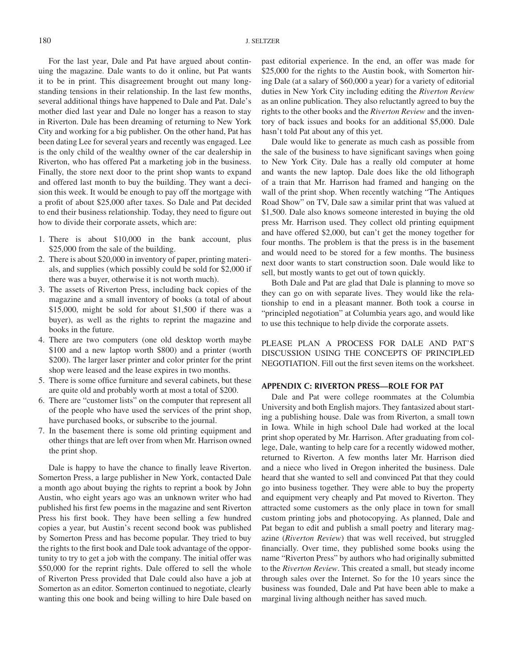For the last year, Dale and Pat have argued about continuing the magazine. Dale wants to do it online, but Pat wants it to be in print. This disagreement brought out many longstanding tensions in their relationship. In the last few months, several additional things have happened to Dale and Pat. Dale's mother died last year and Dale no longer has a reason to stay in Riverton. Dale has been dreaming of returning to New York City and working for a big publisher. On the other hand, Pat has been dating Lee for several years and recently was engaged. Lee is the only child of the wealthy owner of the car dealership in Riverton, who has offered Pat a marketing job in the business. Finally, the store next door to the print shop wants to expand and offered last month to buy the building. They want a decision this week. It would be enough to pay off the mortgage with a profit of about \$25,000 after taxes. So Dale and Pat decided to end their business relationship. Today, they need to figure out how to divide their corporate assets, which are:

- 1. There is about \$10,000 in the bank account, plus \$25,000 from the sale of the building.
- 2. There is about \$20,000 in inventory of paper, printing materials, and supplies (which possibly could be sold for \$2,000 if there was a buyer, otherwise it is not worth much).
- 3. The assets of Riverton Press, including back copies of the magazine and a small inventory of books (a total of about \$15,000, might be sold for about \$1,500 if there was a buyer), as well as the rights to reprint the magazine and books in the future.
- 4. There are two computers (one old desktop worth maybe \$100 and a new laptop worth \$800) and a printer (worth \$200). The larger laser printer and color printer for the print shop were leased and the lease expires in two months.
- 5. There is some office furniture and several cabinets, but these are quite old and probably worth at most a total of \$200.
- 6. There are "customer lists" on the computer that represent all of the people who have used the services of the print shop, have purchased books, or subscribe to the journal.
- 7. In the basement there is some old printing equipment and other things that are left over from when Mr. Harrison owned the print shop.

Dale is happy to have the chance to finally leave Riverton. Somerton Press, a large publisher in New York, contacted Dale a month ago about buying the rights to reprint a book by John Austin, who eight years ago was an unknown writer who had published his first few poems in the magazine and sent Riverton Press his first book. They have been selling a few hundred copies a year, but Austin's recent second book was published by Somerton Press and has become popular. They tried to buy the rights to the first book and Dale took advantage of the opportunity to try to get a job with the company. The initial offer was \$50,000 for the reprint rights. Dale offered to sell the whole of Riverton Press provided that Dale could also have a job at Somerton as an editor. Somerton continued to negotiate, clearly wanting this one book and being willing to hire Dale based on

past editorial experience. In the end, an offer was made for \$25,000 for the rights to the Austin book, with Somerton hiring Dale (at a salary of \$60,000 a year) for a variety of editorial duties in New York City including editing the *Riverton Review* as an online publication. They also reluctantly agreed to buy the rights to the other books and the *Riverton Review* and the inventory of back issues and books for an additional \$5,000. Dale hasn't told Pat about any of this yet.

Dale would like to generate as much cash as possible from the sale of the business to have significant savings when going to New York City. Dale has a really old computer at home and wants the new laptop. Dale does like the old lithograph of a train that Mr. Harrison had framed and hanging on the wall of the print shop. When recently watching "The Antiques Road Show" on TV, Dale saw a similar print that was valued at \$1,500. Dale also knows someone interested in buying the old press Mr. Harrison used. They collect old printing equipment and have offered \$2,000, but can't get the money together for four months. The problem is that the press is in the basement and would need to be stored for a few months. The business next door wants to start construction soon. Dale would like to sell, but mostly wants to get out of town quickly.

Both Dale and Pat are glad that Dale is planning to move so they can go on with separate lives. They would like the relationship to end in a pleasant manner. Both took a course in "principled negotiation" at Columbia years ago, and would like to use this technique to help divide the corporate assets.

PLEASE PLAN A PROCESS FOR DALE AND PAT'S DISCUSSION USING THE CONCEPTS OF PRINCIPLED NEGOTIATION. Fill out the first seven items on the worksheet.

## **APPENDIX C: RIVERTON PRESS—ROLE FOR PAT**

Dale and Pat were college roommates at the Columbia University and both English majors. They fantasized about starting a publishing house. Dale was from Riverton, a small town in Iowa. While in high school Dale had worked at the local print shop operated by Mr. Harrison. After graduating from college, Dale, wanting to help care for a recently widowed mother, returned to Riverton. A few months later Mr. Harrison died and a niece who lived in Oregon inherited the business. Dale heard that she wanted to sell and convinced Pat that they could go into business together. They were able to buy the property and equipment very cheaply and Pat moved to Riverton. They attracted some customers as the only place in town for small custom printing jobs and photocopying. As planned, Dale and Pat began to edit and publish a small poetry and literary magazine (*Riverton Review*) that was well received, but struggled financially. Over time, they published some books using the name "Riverton Press" by authors who had originally submitted to the *Riverton Review*. This created a small, but steady income through sales over the Internet. So for the 10 years since the business was founded, Dale and Pat have been able to make a marginal living although neither has saved much.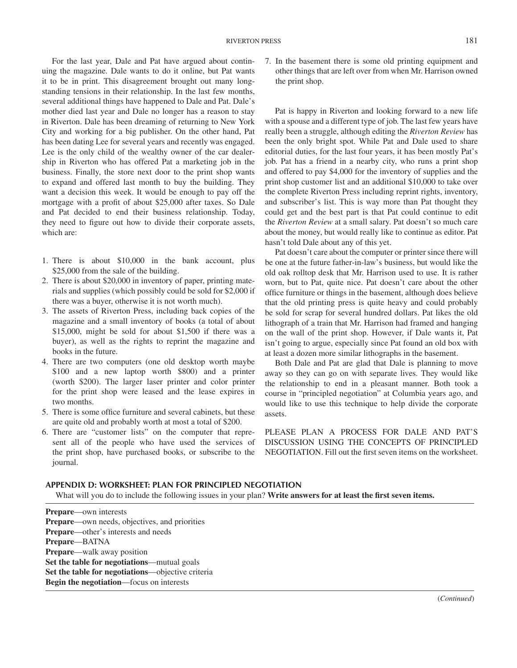For the last year, Dale and Pat have argued about continuing the magazine. Dale wants to do it online, but Pat wants it to be in print. This disagreement brought out many longstanding tensions in their relationship. In the last few months, several additional things have happened to Dale and Pat. Dale's mother died last year and Dale no longer has a reason to stay in Riverton. Dale has been dreaming of returning to New York City and working for a big publisher. On the other hand, Pat has been dating Lee for several years and recently was engaged. Lee is the only child of the wealthy owner of the car dealership in Riverton who has offered Pat a marketing job in the business. Finally, the store next door to the print shop wants to expand and offered last month to buy the building. They want a decision this week. It would be enough to pay off the mortgage with a profit of about \$25,000 after taxes. So Dale and Pat decided to end their business relationship. Today, they need to figure out how to divide their corporate assets, which are:

- 1. There is about \$10,000 in the bank account, plus \$25,000 from the sale of the building.
- 2. There is about \$20,000 in inventory of paper, printing materials and supplies (which possibly could be sold for \$2,000 if there was a buyer, otherwise it is not worth much).
- 3. The assets of Riverton Press, including back copies of the magazine and a small inventory of books (a total of about \$15,000, might be sold for about \$1,500 if there was a buyer), as well as the rights to reprint the magazine and books in the future.
- 4. There are two computers (one old desktop worth maybe \$100 and a new laptop worth \$800) and a printer (worth \$200). The larger laser printer and color printer for the print shop were leased and the lease expires in two months.
- 5. There is some office furniture and several cabinets, but these are quite old and probably worth at most a total of \$200.
- 6. There are "customer lists" on the computer that represent all of the people who have used the services of the print shop, have purchased books, or subscribe to the journal.

7. In the basement there is some old printing equipment and other things that are left over from when Mr. Harrison owned the print shop.

Pat is happy in Riverton and looking forward to a new life with a spouse and a different type of job. The last few years have really been a struggle, although editing the *Riverton Review* has been the only bright spot. While Pat and Dale used to share editorial duties, for the last four years, it has been mostly Pat's job. Pat has a friend in a nearby city, who runs a print shop and offered to pay \$4,000 for the inventory of supplies and the print shop customer list and an additional \$10,000 to take over the complete Riverton Press including reprint rights, inventory, and subscriber's list. This is way more than Pat thought they could get and the best part is that Pat could continue to edit the *Riverton Review* at a small salary. Pat doesn't so much care about the money, but would really like to continue as editor. Pat hasn't told Dale about any of this yet.

Pat doesn't care about the computer or printer since there will be one at the future father-in-law's business, but would like the old oak rolltop desk that Mr. Harrison used to use. It is rather worn, but to Pat, quite nice. Pat doesn't care about the other office furniture or things in the basement, although does believe that the old printing press is quite heavy and could probably be sold for scrap for several hundred dollars. Pat likes the old lithograph of a train that Mr. Harrison had framed and hanging on the wall of the print shop. However, if Dale wants it, Pat isn't going to argue, especially since Pat found an old box with at least a dozen more similar lithographs in the basement.

Both Dale and Pat are glad that Dale is planning to move away so they can go on with separate lives. They would like the relationship to end in a pleasant manner. Both took a course in "principled negotiation" at Columbia years ago, and would like to use this technique to help divide the corporate assets.

PLEASE PLAN A PROCESS FOR DALE AND PAT'S DISCUSSION USING THE CONCEPTS OF PRINCIPLED NEGOTIATION. Fill out the first seven items on the worksheet.

### **APPENDIX D: WORKSHEET: PLAN FOR PRINCIPLED NEGOTIATION**

What will you do to include the following issues in your plan? **Write answers for at least the first seven items.**

**Prepare**—own interests **Prepare**—own needs, objectives, and priorities **Prepare**—other's interests and needs **Prepare**—BATNA **Prepare**—walk away position **Set the table for negotiations**—mutual goals **Set the table for negotiations**—objective criteria **Begin the negotiation**—focus on interests